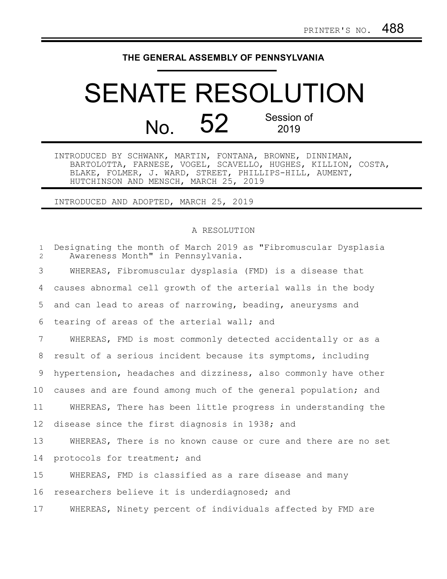## **THE GENERAL ASSEMBLY OF PENNSYLVANIA**

## SENATE RESOLUTION No. 52 Session of 2019

INTRODUCED BY SCHWANK, MARTIN, FONTANA, BROWNE, DINNIMAN, BARTOLOTTA, FARNESE, VOGEL, SCAVELLO, HUGHES, KILLION, COSTA, BLAKE, FOLMER, J. WARD, STREET, PHILLIPS-HILL, AUMENT, HUTCHINSON AND MENSCH, MARCH 25, 2019

INTRODUCED AND ADOPTED, MARCH 25, 2019

## A RESOLUTION

| $\mathbf{1}$<br>$\overline{2}$ | Designating the month of March 2019 as "Fibromuscular Dysplasia<br>Awareness Month" in Pennsylvania. |
|--------------------------------|------------------------------------------------------------------------------------------------------|
| 3                              | WHEREAS, Fibromuscular dysplasia (FMD) is a disease that                                             |
| 4                              | causes abnormal cell growth of the arterial walls in the body                                        |
| 5                              | and can lead to areas of narrowing, beading, aneurysms and                                           |
| 6                              | tearing of areas of the arterial wall; and                                                           |
| 7                              | WHEREAS, FMD is most commonly detected accidentally or as a                                          |
| 8                              | result of a serious incident because its symptoms, including                                         |
| 9                              | hypertension, headaches and dizziness, also commonly have other                                      |
| 10                             | causes and are found among much of the general population; and                                       |
| 11                             | WHEREAS, There has been little progress in understanding the                                         |
| 12                             | disease since the first diagnosis in 1938; and                                                       |
| 13                             | WHEREAS, There is no known cause or cure and there are no set                                        |
| 14                             | protocols for treatment; and                                                                         |
| 15                             | WHEREAS, FMD is classified as a rare disease and many                                                |
| 16                             | researchers believe it is underdiagnosed; and                                                        |
| 17                             | WHEREAS, Ninety percent of individuals affected by FMD are                                           |